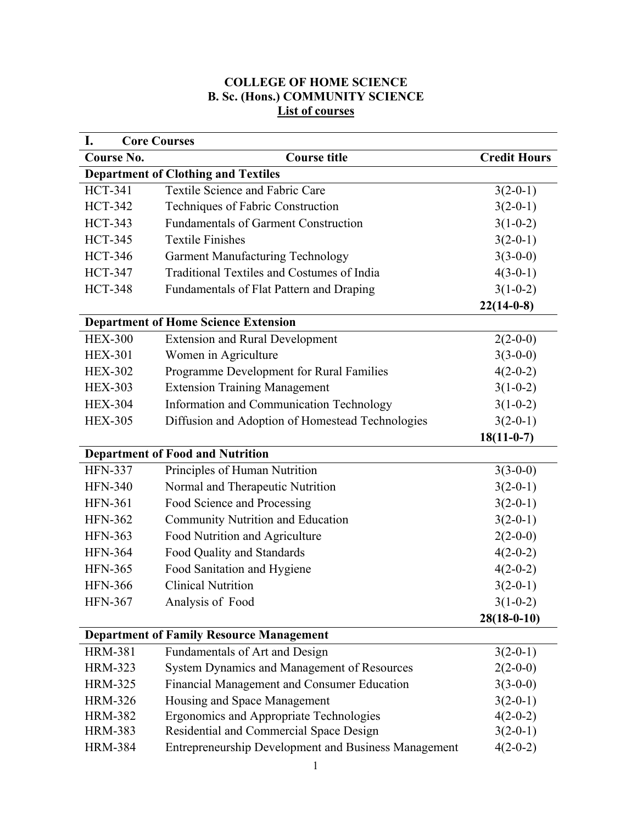## **COLLEGE OF HOME SCIENCE B. Sc. (Hons.) COMMUNITY SCIENCE List of courses**

| I.<br><b>Core Courses</b>                            |                                                                                                                                                                                |  |  |  |
|------------------------------------------------------|--------------------------------------------------------------------------------------------------------------------------------------------------------------------------------|--|--|--|
| <b>Course title</b>                                  | <b>Credit Hours</b>                                                                                                                                                            |  |  |  |
|                                                      |                                                                                                                                                                                |  |  |  |
|                                                      | $3(2-0-1)$                                                                                                                                                                     |  |  |  |
| Techniques of Fabric Construction                    | $3(2-0-1)$                                                                                                                                                                     |  |  |  |
| <b>Fundamentals of Garment Construction</b>          | $3(1-0-2)$                                                                                                                                                                     |  |  |  |
| <b>Textile Finishes</b>                              | $3(2-0-1)$                                                                                                                                                                     |  |  |  |
| <b>Garment Manufacturing Technology</b>              | $3(3-0-0)$                                                                                                                                                                     |  |  |  |
| Traditional Textiles and Costumes of India           | $4(3-0-1)$                                                                                                                                                                     |  |  |  |
| Fundamentals of Flat Pattern and Draping             | $3(1-0-2)$                                                                                                                                                                     |  |  |  |
|                                                      | $22(14-0-8)$                                                                                                                                                                   |  |  |  |
|                                                      |                                                                                                                                                                                |  |  |  |
| <b>Extension and Rural Development</b>               | $2(2-0-0)$                                                                                                                                                                     |  |  |  |
| Women in Agriculture                                 | $3(3-0-0)$                                                                                                                                                                     |  |  |  |
| Programme Development for Rural Families             | $4(2-0-2)$                                                                                                                                                                     |  |  |  |
| <b>Extension Training Management</b>                 | $3(1-0-2)$                                                                                                                                                                     |  |  |  |
| Information and Communication Technology             | $3(1-0-2)$                                                                                                                                                                     |  |  |  |
| Diffusion and Adoption of Homestead Technologies     | $3(2-0-1)$                                                                                                                                                                     |  |  |  |
|                                                      | $18(11-0-7)$                                                                                                                                                                   |  |  |  |
|                                                      |                                                                                                                                                                                |  |  |  |
| Principles of Human Nutrition                        | $3(3-0-0)$                                                                                                                                                                     |  |  |  |
| Normal and Therapeutic Nutrition                     | $3(2-0-1)$                                                                                                                                                                     |  |  |  |
| Food Science and Processing                          | $3(2-0-1)$                                                                                                                                                                     |  |  |  |
| Community Nutrition and Education                    | $3(2-0-1)$                                                                                                                                                                     |  |  |  |
| Food Nutrition and Agriculture                       | $2(2-0-0)$                                                                                                                                                                     |  |  |  |
| Food Quality and Standards                           | $4(2-0-2)$                                                                                                                                                                     |  |  |  |
| Food Sanitation and Hygiene                          | $4(2-0-2)$                                                                                                                                                                     |  |  |  |
| <b>Clinical Nutrition</b>                            | $3(2-0-1)$                                                                                                                                                                     |  |  |  |
| Analysis of Food                                     | $3(1-0-2)$                                                                                                                                                                     |  |  |  |
|                                                      | $28(18-0-10)$                                                                                                                                                                  |  |  |  |
| <b>Department of Family Resource Management</b>      |                                                                                                                                                                                |  |  |  |
| Fundamentals of Art and Design                       | $3(2-0-1)$                                                                                                                                                                     |  |  |  |
| System Dynamics and Management of Resources          | $2(2-0-0)$                                                                                                                                                                     |  |  |  |
| Financial Management and Consumer Education          | $3(3-0-0)$                                                                                                                                                                     |  |  |  |
| Housing and Space Management                         | $3(2-0-1)$                                                                                                                                                                     |  |  |  |
| Ergonomics and Appropriate Technologies              | $4(2-0-2)$                                                                                                                                                                     |  |  |  |
| Residential and Commercial Space Design              | $3(2-0-1)$                                                                                                                                                                     |  |  |  |
| Entrepreneurship Development and Business Management | $4(2-0-2)$                                                                                                                                                                     |  |  |  |
|                                                      | <b>Department of Clothing and Textiles</b><br><b>Textile Science and Fabric Care</b><br><b>Department of Home Science Extension</b><br><b>Department of Food and Nutrition</b> |  |  |  |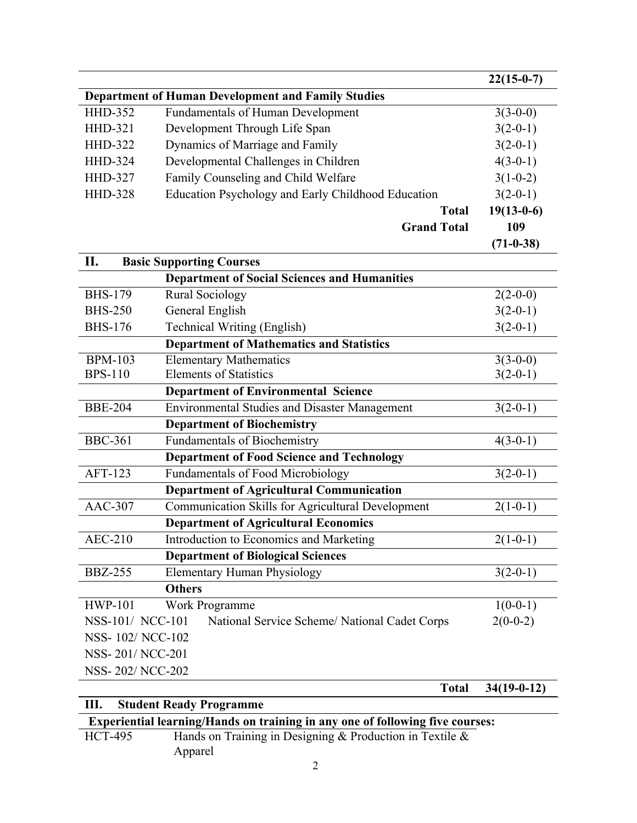|                  |                                                           |              | $22(15-0-7)$  |  |
|------------------|-----------------------------------------------------------|--------------|---------------|--|
|                  | <b>Department of Human Development and Family Studies</b> |              |               |  |
| <b>HHD-352</b>   | <b>Fundamentals of Human Development</b>                  |              | $3(3-0-0)$    |  |
| <b>HHD-321</b>   | Development Through Life Span                             |              | $3(2-0-1)$    |  |
| <b>HHD-322</b>   | Dynamics of Marriage and Family                           |              | $3(2-0-1)$    |  |
| <b>HHD-324</b>   | Developmental Challenges in Children                      |              | $4(3-0-1)$    |  |
| <b>HHD-327</b>   | Family Counseling and Child Welfare                       |              | $3(1-0-2)$    |  |
| <b>HHD-328</b>   | Education Psychology and Early Childhood Education        |              | $3(2-0-1)$    |  |
|                  |                                                           | <b>Total</b> | $19(13-0-6)$  |  |
|                  | <b>Grand Total</b>                                        |              | 109           |  |
|                  |                                                           |              | $(71-0-38)$   |  |
| П.               | <b>Basic Supporting Courses</b>                           |              |               |  |
|                  | <b>Department of Social Sciences and Humanities</b>       |              |               |  |
| <b>BHS-179</b>   | <b>Rural Sociology</b>                                    |              | $2(2-0-0)$    |  |
| <b>BHS-250</b>   | General English                                           |              | $3(2-0-1)$    |  |
| <b>BHS-176</b>   | Technical Writing (English)                               |              | $3(2-0-1)$    |  |
|                  | <b>Department of Mathematics and Statistics</b>           |              |               |  |
| <b>BPM-103</b>   | <b>Elementary Mathematics</b>                             |              | $3(3-0-0)$    |  |
| <b>BPS-110</b>   | <b>Elements of Statistics</b>                             |              | $3(2-0-1)$    |  |
|                  | <b>Department of Environmental Science</b>                |              |               |  |
| <b>BBE-204</b>   | <b>Environmental Studies and Disaster Management</b>      |              | $3(2-0-1)$    |  |
|                  | <b>Department of Biochemistry</b>                         |              |               |  |
| <b>BBC-361</b>   | <b>Fundamentals of Biochemistry</b>                       |              | $4(3-0-1)$    |  |
|                  | <b>Department of Food Science and Technology</b>          |              |               |  |
| AFT-123          | Fundamentals of Food Microbiology                         |              | $3(2-0-1)$    |  |
|                  | <b>Department of Agricultural Communication</b>           |              |               |  |
| <b>AAC-307</b>   | Communication Skills for Agricultural Development         |              | $2(1-0-1)$    |  |
|                  | <b>Department of Agricultural Economics</b>               |              |               |  |
| <b>AEC-210</b>   | <b>Introduction to Economics and Marketing</b>            |              | $2(1-0-1)$    |  |
|                  | <b>Department of Biological Sciences</b>                  |              |               |  |
| <b>BBZ-255</b>   | <b>Elementary Human Physiology</b>                        |              | $3(2-0-1)$    |  |
|                  | <b>Others</b>                                             |              |               |  |
| <b>HWP-101</b>   | Work Programme                                            |              | $1(0-0-1)$    |  |
| NSS-101/ NCC-101 | National Service Scheme/ National Cadet Corps             |              | $2(0-0-2)$    |  |
| NSS-102/NCC-102  |                                                           |              |               |  |
| NSS-201/NCC-201  |                                                           |              |               |  |
| NSS-202/NCC-202  |                                                           |              |               |  |
|                  |                                                           | <b>Total</b> | $34(19-0-12)$ |  |

## **III. Student Ready Programme**

## **Experiential learning/Hands on training in any one of following five courses:**

| HCT-495 | Hands on Training in Designing & Production in Textile $\&$ |
|---------|-------------------------------------------------------------|
|         | Apparel                                                     |